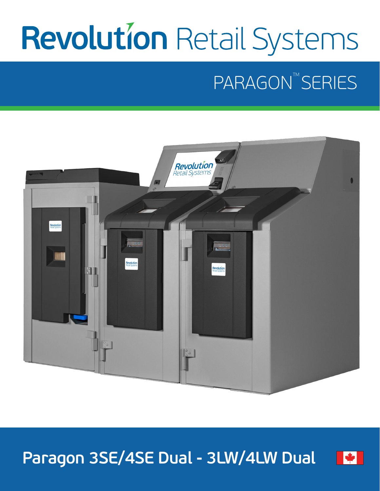# **Revolution Retail Systems**

# PARAGON<sup>TM</sup> SERIES



**Paragon 3SE/4SE Dual - 3LW/4LW Dual**

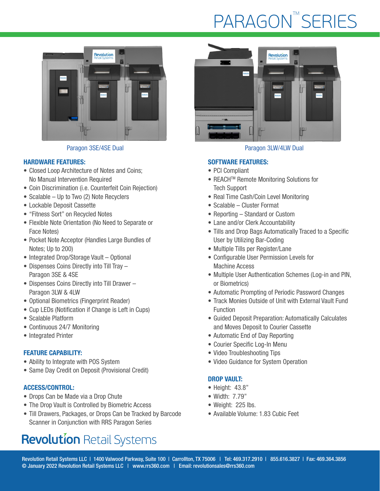## **PARAGON™SERIES**



#### HARDWARE FEATURES:

- Closed Loop Architecture of Notes and Coins; No Manual Intervention Required
- Coin Discrimination (i.e. Counterfeit Coin Rejection)
- Scalable Up to Two (2) Note Recyclers
- Lockable Deposit Cassette
- "Fitness Sort" on Recycled Notes
- Flexible Note Orientation (No Need to Separate or Face Notes)
- Pocket Note Acceptor (Handles Large Bundles of Notes; Up to 200)
- Integrated Drop/Storage Vault Optional
- Dispenses Coins Directly into Till Tray Paragon 3SE & 4SE
- Dispenses Coins Directly into Till Drawer Paragon 3LW & 4LW
- Optional Biometrics (Fingerprint Reader)
- Cup LEDs (Notification if Change is Left in Cups)
- Scalable Platform
- Continuous 24/7 Monitoring
- Integrated Printer

#### FEATURE CAPABILITY:

- Ability to Integrate with POS System
- Same Day Credit on Deposit (Provisional Credit)

#### ACCESS/CONTROL:

- Drops Can be Made via a Drop Chute
- The Drop Vault is Controlled by Biometric Access
- Till Drawers, Packages, or Drops Can be Tracked by Barcode Scanner in Conjunction with RRS Paragon Series

### **Revolution Retail Systems**



#### Paragon 3SE/4SE Dual Paragon 3LW/4LW Dual

#### SOFTWARE FEATURES:

- PCI Compliant
- REACH<sup>™</sup> Remote Monitoring Solutions for Tech Support
- Real Time Cash/Coin Level Monitoring
- Scalable Cluster Format
- Reporting Standard or Custom
- Lane and/or Clerk Accountability
- Tills and Drop Bags Automatically Traced to a Specific User by Utilizing Bar-Coding
- Multiple Tills per Register/Lane
- Configurable User Permission Levels for Machine Access
- Multiple User Authentication Schemes (Log-in and PIN, or Biometrics)
- Automatic Prompting of Periodic Password Changes
- Track Monies Outside of Unit with External Vault Fund Function
- Guided Deposit Preparation: Automatically Calculates and Moves Deposit to Courier Cassette
- Automatic End of Day Reporting
- Courier Specific Log-In Menu
- Video Troubleshooting Tips
- Video Guidance for System Operation

#### DROP VAULT:

- Height: 43.8"
- Width: 7.79"
- Weight: 225 lbs.
- Available Volume: 1.83 Cubic Feet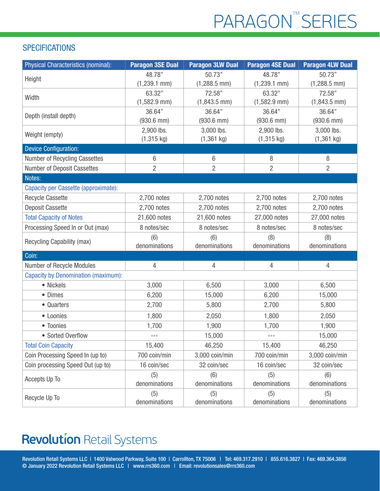# PARAGON<sup>™</sup>SERIES

#### **SPECIFICATIONS**

| Physical Characteristics (nominal):        | <b>Paragon 3SE Dual</b> | <b>Paragon 3LW Dual</b> | <b>Paragon 4SE Dual</b> | <b>Paragon 4LW Dual</b> |
|--------------------------------------------|-------------------------|-------------------------|-------------------------|-------------------------|
| Height                                     | 48.78"                  | 50.73"                  | 48.78"                  | 50.73"                  |
|                                            | $(1,239.1$ mm)          | $(1,288.5$ mm)          | $(1,239.1$ mm)          | $(1,288.5$ mm)          |
| Width                                      | 63.32"                  | 72.58"                  | 63.32"                  | 72.58"                  |
|                                            | $(1,582.9$ mm)          | $(1,843.5$ mm)          | $(1,582.9$ mm)          | $(1,843.5$ mm)          |
| Depth (install depth)                      | 36.64"                  | 36.64"                  | 36.64"                  | 36.64"                  |
|                                            | $(930.6$ mm $)$         | $(930.6$ mm $)$         | $(930.6$ mm $)$         | $(930.6$ mm)            |
| Weight (empty)                             | 2,900 lbs.              | 3,000 lbs.              | 2,900 lbs.              | 3,000 lbs.              |
|                                            | $(1,315 \text{ kg})$    | $(1,361$ kg)            | $(1, 315 \text{ kg})$   | $(1,361$ kg)            |
| <b>Device Configuration:</b>               |                         |                         |                         |                         |
| Number of Recycling Cassettes              | 6                       | $6\phantom{1}$          | 8                       | 8                       |
| Number of Deposit Cassettes                | $\overline{2}$          | $\overline{2}$          | $\overline{2}$          | 2                       |
| Notes:                                     |                         |                         |                         |                         |
| Capacity per Cassette (approximate):       |                         |                         |                         |                         |
| <b>Recycle Cassette</b>                    | 2,700 notes             | 2,700 notes             | 2,700 notes             | 2,700 notes             |
| <b>Deposit Cassette</b>                    | 2,700 notes             | 2,700 notes             | 2,700 notes             | 2,700 notes             |
| <b>Total Capacity of Notes</b>             | 21,600 notes            | 21,600 notes            | 27,000 notes            | 27,000 notes            |
| Processing Speed In or Out (max)           | 8 notes/sec             | 8 notes/sec             | 8 notes/sec             | 8 notes/sec             |
| Recycling Capability (max)                 | (6)<br>denominations    | (6)<br>denominations    | (8)<br>denominations    | (8)<br>denominations    |
| Coin:                                      |                         |                         |                         |                         |
| Number of Recycle Modules                  | 4                       | 4                       | 4                       | $\overline{4}$          |
| <b>Capacity by Denomination (maximum):</b> |                         |                         |                         |                         |
| • Nickels                                  | 3,000                   | 6,500                   | 3,000                   | 6,500                   |
| • Dimes                                    | 6,200                   | 15,000                  | 6,200                   | 15,000                  |
| • Quarters                                 |                         |                         |                         |                         |
|                                            | 2,700                   | 5,800                   | 2,700                   | 5,800                   |
| • Loonies                                  | 1,800                   | 2,050                   | 1,800                   | 2,050                   |
| • Toonies                                  | 1,700                   | 1,900                   | 1,700                   | 1,900                   |
| • Sorted Overflow                          | $---$                   | 15,000                  | $---$                   | 15,000                  |
| <b>Total Coin Capacity</b>                 | 15,400                  | 46,250                  | 15,400                  | 46,250                  |
| Coin Processing Speed In (up to)           | 700 coin/min            | 3,000 coin/min          | 700 coin/min            | 3,000 coin/min          |
| Coin processing Speed Out (up to)          | 16 coin/sec             | 32 coin/sec             | 16 coin/sec             | 32 coin/sec             |
| Accepts Up To                              | (5)<br>denominations    | (6)<br>denominations    | (5)<br>denominations    | (6)<br>denominations    |
| Recycle Up To                              | (5)                     | (5)                     | (5)                     | (5)                     |
|                                            | denominations           | denominations           | denominations           | denominations           |

### **Revolution Retail Systems**

Revolution Retail Systems LLC | 1400 Valwood Parkway, Suite 100 | Carrollton, TX 75006 | Tel: 469.317.2910 | 855.616.3827 | Fax: 469.364.3856 © January 2022 Revolution Retail Systems LLC | www.rrs360.com | Email: revolutionsales@rrs360.com